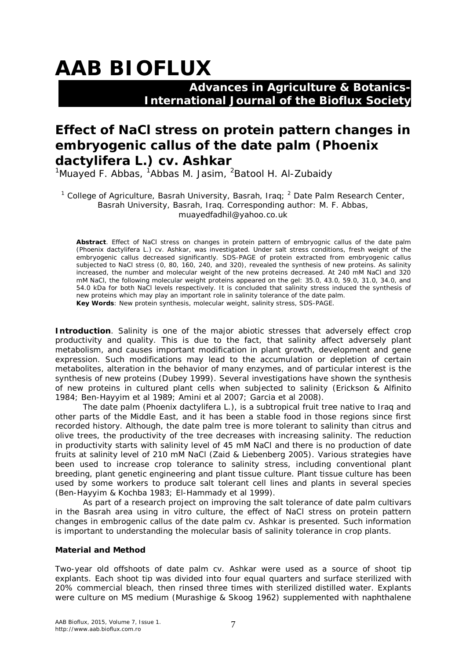# **AAB BIOFLUX**

## **Advances in Agriculture & Botanics- International Journal of the Bioflux Society**

## **Effect of NaCl stress on protein pattern changes in embryogenic callus of the date palm (***Phoenix dactylifera* **L.) cv. Ashkar**

<sup>1</sup>Muayed F. Abbas, <sup>1</sup>Abbas M. Jasim, <sup>2</sup>Batool H. Al-Zubaidy

<sup>1</sup> College of Agriculture, Basrah University, Basrah, Iraq;  $^2$  Date Palm Research Center, Basrah University, Basrah, Iraq. Corresponding author: M. F. Abbas, muayedfadhil@yahoo.co.uk

**Abstract**. Effect of NaCl stress on changes in protein pattern of embryognic callus of the date palm (*Phoenix dactylifera* L.) cv. Ashkar, was investigated. Under salt stress conditions, fresh weight of the embryogenic callus decreased significantly. SDS-PAGE of protein extracted from embryogenic callus subjected to NaCl stress (0, 80, 160, 240, and 320), revealed the synthesis of new proteins. As salinity increased, the number and molecular weight of the new proteins decreased. At 240 mM NaCl and 320 mM NaCl, the following molecular weight proteins appeared on the gel: 35.0, 43.0, 59.0, 31.0, 34.0, and 54.0 kDa for both NaCl levels respectively. It is concluded that salinity stress induced the synthesis of new proteins which may play an important role in salinity tolerance of the date palm. **Key Words**: New protein synthesis, molecular weight, salinity stress, SDS-PAGE.

**Introduction**. Salinity is one of the major abiotic stresses that adversely effect crop productivity and quality. This is due to the fact, that salinity affect adversely plant metabolism, and causes important modification in plant growth, development and gene expression. Such modifications may lead to the accumulation or depletion of certain metabolites, alteration in the behavior of many enzymes, and of particular interest is the synthesis of new proteins (Dubey 1999). Several investigations have shown the synthesis of new proteins in cultured plant cells when subjected to salinity (Erickson & Alfinito 1984; Ben-Hayyim et al 1989; Amini et al 2007; Garcia et al 2008).

The date palm (*Phoenix dactylifera* L.), is a subtropical fruit tree native to Iraq and other parts of the Middle East, and it has been a stable food in those regions since first recorded history. Although, the date palm tree is more tolerant to salinity than citrus and olive trees, the productivity of the tree decreases with increasing salinity. The reduction in productivity starts with salinity level of 45 mM NaCl and there is no production of date fruits at salinity level of 210 mM NaCl (Zaid & Liebenberg 2005). Various strategies have been used to increase crop tolerance to salinity stress, including conventional plant breeding, plant genetic engineering and plant tissue culture. Plant tissue culture has been used by some workers to produce salt tolerant cell lines and plants in several species (Ben-Hayyim & Kochba 1983; El-Hammady et al 1999).

As part of a research project on improving the salt tolerance of date palm cultivars in the Basrah area using *in vitro culture,* the effect of NaCl stress on protein pattern changes in embrogenic callus of the date palm cv. Ashkar is presented. Such information is important to understanding the molecular basis of salinity tolerance in crop plants.

### **Material and Method**

Two-year old offshoots of date palm cv. Ashkar were used as a source of shoot tip explants. Each shoot tip was divided into four equal quarters and surface sterilized with 20% commercial bleach, then rinsed three times with sterilized distilled water. Explants were culture on MS medium (Murashige & Skoog 1962) supplemented with naphthalene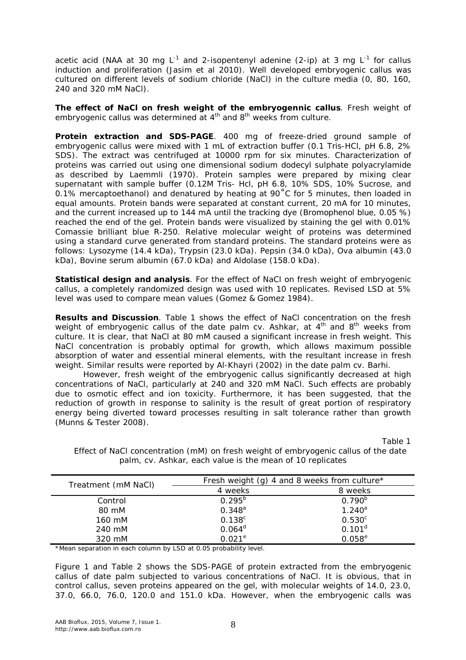acetic acid (NAA at 30 mg L<sup>-1</sup> and 2-isopentenyl adenine (2-ip) at 3 mg L<sup>-1</sup> for callus induction and proliferation (Jasim et al 2010). Well developed embryogenic callus was cultured on different levels of sodium chloride (NaCl) in the culture media (0, 80, 160, 240 and 320 mM NaCl).

*The effect of NaCl on fresh weight of the embryogennic callus*. Fresh weight of embryogenic callus was determined at 4<sup>th</sup> and 8<sup>th</sup> weeks from culture.

*Protein extraction and SDS-PAGE*. 400 mg of freeze-dried ground sample of embryogenic callus were mixed with 1 mL of extraction buffer (0.1 Tris-HCl, pH 6.8, 2% SDS). The extract was centrifuged at 10000 rpm for six minutes. Characterization of proteins was carried out using one dimensional sodium dodecyl sulphate polyacrylamide as described by Laemmli (1970). Protein samples were prepared by mixing clear supernatant with sample buffer (0.12M Tris- Hcl, pH 6.8, 10% SDS, 10% Sucrose, and 0.1% mercaptoethanol) and denatured by heating at 90˚C for 5 minutes, then loaded in equal amounts. Protein bands were separated at constant current, 20 mA for 10 minutes, and the current increased up to 144 mA until the tracking dye (Bromophenol blue, 0.05 %) reached the end of the gel. Protein bands were visualized by staining the gel with 0.01% Comassie brilliant blue R-250. Relative molecular weight of proteins was determined using a standard curve generated from standard proteins. The standard proteins were as follows: Lysozyme (14.4 kDa), Trypsin (23.0 kDa). Pepsin (34.0 kDa), Ova albumin (43.0 kDa), Bovine serum albumin (67.0 kDa) and Aldolase (158.0 kDa).

*Statistical design and analysis*. For the effect of NaCl on fresh weight of embryogenic callus, a completely randomized design was used with 10 replicates. Revised LSD at 5% level was used to compare mean values (Gomez & Gomez 1984).

**Results and Discussion**. Table 1 shows the effect of NaCl concentration on the fresh weight of embryogenic callus of the date palm cv. Ashkar, at 4<sup>th</sup> and 8<sup>th</sup> weeks from culture. It is clear, that NaCl at 80 mM caused a significant increase in fresh weight. This NaCl concentration is probably optimal for growth, which allows maximum possible absorption of water and essential mineral elements, with the resultant increase in fresh weight. Similar results were reported by Al-Khayri (2002) in the date palm cv. Barhi.

However, fresh weight of the embryogenic callus significantly decreased at high concentrations of NaCl, particularly at 240 and 320 mM NaCl. Such effects are probably due to osmotic effect and ion toxicity. Furthermore, it has been suggested, that the reduction of growth in response to salinity is the result of great portion of respiratory energy being diverted toward processes resulting in salt tolerance rather than growth (Munns & Tester 2008).

Table 1

| Treatment (mM NaCl) | Fresh weight (g) 4 and 8 weeks from culture $*$ |                    |
|---------------------|-------------------------------------------------|--------------------|
|                     | 4 weeks                                         | 8 weeks            |
| Control             | $0.295^{b}$                                     | $0.790^{b}$        |
| 80 mM               | $0.348^{a}$                                     | $1.240^a$          |
| 160 mM              | $0.138^{c}$                                     | $0.530^{c}$        |
| 240 mM              | $0.064^d$                                       | 0.101 <sup>d</sup> |
| 320 mM              | $0.021^e$                                       | $0.058^{\rm e}$    |

Effect of NaCl concentration (mM) on fresh weight of embryogenic callus of the date palm, cv. Ashkar, each value is the mean of 10 replicates

\*Mean separation in each column by LSD at 0.05 probability level.

Figure 1 and Table 2 shows the SDS-PAGE of protein extracted from the embryogenic callus of date palm subjected to various concentrations of NaCl. It is obvious, that in control callus, seven proteins appeared on the gel, with molecular weights of 14.0, 23.0, 37.0, 66.0, 76.0, 120.0 and 151.0 kDa. However, when the embryogenic calls was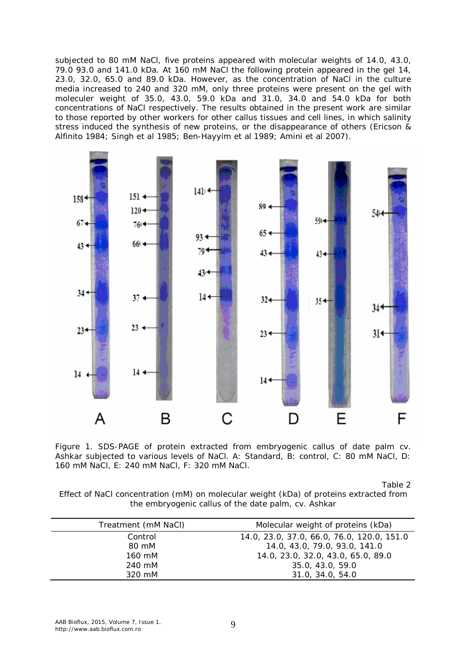subjected to 80 mM NaCl, five proteins appeared with molecular weights of 14.0, 43.0, 79.0 93.0 and 141.0 kDa. At 160 mM NaCl the following protein appeared in the gel 14, 23.0, 32.0, 65.0 and 89.0 kDa. However, as the concentration of NaCl in the culture media increased to 240 and 320 mM, only three proteins were present on the gel with moleculer weight of 35.0, 43.0, 59.0 kDa and 31.0, 34.0 and 54.0 kDa for both concentrations of NaCl respectively. The results obtained in the present work are similar to those reported by other workers for other callus tissues and cell lines, in which salinity stress induced the synthesis of new proteins, or the disappearance of others (Ericson & Alfinito 1984; Singh et al 1985; Ben-Hayyim et al 1989; Amini et al 2007).



Figure 1. SDS-PAGE of protein extracted from embryogenic callus of date palm cv. Ashkar subjected to various levels of NaCl. A: Standard, B: control, C: 80 mM NaCl, D: 160 mM NaCl, E: 240 mM NaCl, F: 320 mM NaCl.

Table 2

Effect of NaCl concentration (mM) on molecular weight (kDa) of proteins extracted from the embryogenic callus of the date palm, cv. Ashkar

| Treatment (mM NaCl) | Molecular weight of proteins (kDa)         |
|---------------------|--------------------------------------------|
| Control             | 14.0, 23.0, 37.0, 66.0, 76.0, 120.0, 151.0 |
| 80 mM               | 14.0, 43.0, 79.0, 93.0, 141.0              |
| 160 mM              | 14.0, 23.0, 32.0, 43.0, 65.0, 89.0         |
| 240 mM              | 35.0, 43.0, 59.0                           |
| 320 mM              | 31.0, 34.0, 54.0                           |
|                     |                                            |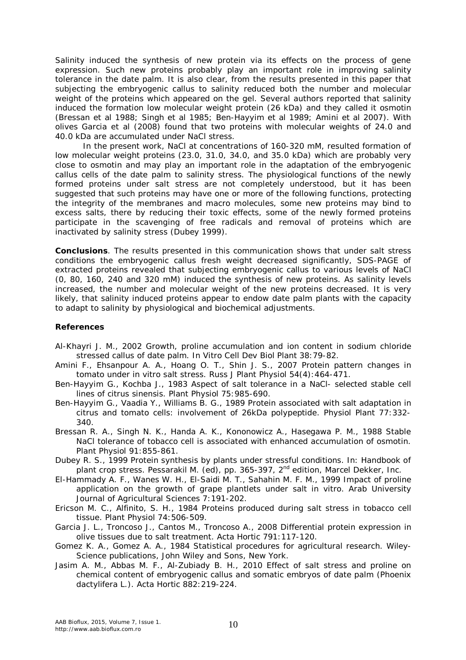Salinity induced the synthesis of new protein via its effects on the process of gene expression. Such new proteins probably play an important role in improving salinity tolerance in the date palm. It is also clear, from the results presented in this paper that subjecting the embryogenic callus to salinity reduced both the number and molecular weight of the proteins which appeared on the gel. Several authors reported that salinity induced the formation low molecular weight protein (26 kDa) and they called it osmotin (Bressan et al 1988; Singh et al 1985; Ben-Hayyim et al 1989; Amini et al 2007). With olives Garcia et al (2008) found that two proteins with molecular weights of 24.0 and 40.0 kDa are accumulated under NaCl stress.

In the present work, NaCl at concentrations of 160-320 mM, resulted formation of low molecular weight proteins (23.0, 31.0, 34.0, and 35.0 kDa) which are probably very close to osmotin and may play an important role in the adaptation of the embryogenic callus cells of the date palm to salinity stress. The physiological functions of the newly formed proteins under salt stress are not completely understood, but it has been suggested that such proteins may have one or more of the following functions, protecting the integrity of the membranes and macro molecules, some new proteins may bind to excess salts, there by reducing their toxic effects, some of the newly formed proteins participate in the scavenging of free radicals and removal of proteins which are inactivated by salinity stress (Dubey 1999).

**Conclusions**. The results presented in this communication shows that under salt stress conditions the embryogenic callus fresh weight decreased significantly, SDS-PAGE of extracted proteins revealed that subjecting embryogenic callus to various levels of NaCl (0, 80, 160, 240 and 320 mM) induced the synthesis of new proteins. As salinity levels increased, the number and molecular weight of the new proteins decreased. It is very likely, that salinity induced proteins appear to endow date palm plants with the capacity to adapt to salinity by physiological and biochemical adjustments.

### **References**

- Al-Khayri J. M., 2002 Growth, proline accumulation and ion content in sodium chloride stressed callus of date palm. In Vitro Cell Dev Biol Plant 38:79-82.
- Amini F., Ehsanpour A. A., Hoang O. T., Shin J. S., 2007 Protein pattern changes in tomato under in vitro salt stress. Russ J Plant Physiol 54(4):464-471.
- Ben-Hayyim G., Kochba J., 1983 Aspect of salt tolerance in a NaCl- selected stable cell lines of citrus sinensis. Plant Physiol 75:985-690.
- Ben-Hayyim G., Vaadia Y., Williams B. G., 1989 Protein associated with salt adaptation in citrus and tomato cells: involvement of 26kDa polypeptide. Physiol Plant 77:332- 340.
- Bressan R. A., Singh N. K., Handa A. K., Kononowicz A., Hasegawa P. M., 1988 Stable NaCl tolerance of tobacco cell is associated with enhanced accumulation of osmotin. Plant Physiol 91:855-861.
- Dubey R. S., 1999 Protein synthesis by plants under stressful conditions. In: Handbook of plant crop stress. Pessarakil M. (ed), pp. 365-397, 2<sup>nd</sup> edition, Marcel Dekker, Inc.
- El-Hammady A. F., Wanes W. H., El-Saidi M. T., Sahahin M. F. M., 1999 Impact of proline application on the growth of grape plantlets under salt in vitro. Arab University Journal of Agricultural Sciences 7:191-202.
- Ericson M. C., Alfinito, S. H., 1984 Proteins produced during salt stress in tobacco cell tissue. Plant Physiol 74:506-509.
- Garcia J. L., Troncoso J., Cantos M., Troncoso A., 2008 Differential protein expression in olive tissues due to salt treatment. Acta Hortic 791:117-120.
- Gomez K. A., Gomez A. A., 1984 Statistical procedures for agricultural research. Wiley-Science publications, John Wiley and Sons, New York.
- Jasim A. M., Abbas M. F., Al-Zubiady B. H., 2010 Effect of salt stress and proline on chemical content of embryogenic callus and somatic embryos of date palm (*Phoenix dactylifera* L.). Acta Hortic 882:219-224.